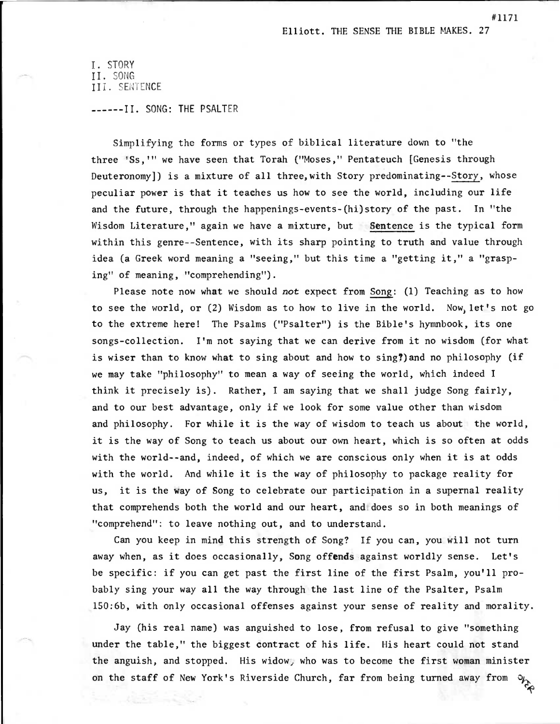I. STORY II.SONG III. SENTENCE

------II. SONG: THE PSALTER

Simplifying the forms or types of biblical literature down to "the three 'Ss," we have seen that Torah ("Moses," Pentateuch [Genesis through Deuteronomy]) is a mixture of all three,with Story predominating--Story, whose peculiar power is that it teaches us how to see the world, including our life and the future, through the happenings-events-(hi)story of the past. In "the Wisdom Literature," again we have a mixture, but Sentence is the typical form within this genre--Sentence, with its sharp pointing to truth and value through idea (a Greek word meaning a "seeing," but this time a "getting it," a "grasping" of meaning, "comprehending").

Please note now what we should not expect from Song: (1) Teaching as to how to see the world, or (2) Wisdom as to how to live in the world. Now let's not go to the extreme here! The Psalms ("Psalter") is the Bible's hymnbook, its one songs-collection. I'm not saying that we can derive from it no wisdom (for what is wiser than to know what to sing about and how to sing?) and no philosophy (if we may take "philosophy" to mean a way of seeing the world, which indeed I think it precisely is). Rather, I am saying that we shall judge Song fairly, and to our best advantage, only if we look for some value other than wisdom and philosophy. For while it is the way of wisdom to teach us about the world, it is the way of Song to teach us about our own heart, which is so often at odds with the world--and, indeed, of which we are conscious only when it is at odds with the world. And while it is the way of philosophy to package reality for us, it is the way of Song to celebrate our participation in a supernal reality that comprehends both the world and our heart, and does so in both meanings of "comprehend": to leave nothing out, and to understand.

Can you keep in mind this strength of Song? If you can, you will not turn away when, as it does occasionally, Song offends against worldly sense. Let's be specific: if you can get past the first line of the first Psalm, you'll probably sing your way all the way through the last line of the Psalter, Psalm 150:6b, with only occasional offenses against your sense of reality and morality.

Jay (his real name) was anguished to lose, from refusal to give "something under the table," the biggest contract of his life. His heart could not stand the anguish, and stopped. His widow, who was to become the first woman minister on the staff of New York's Riverside Church, far from being turned away from  $\sim$